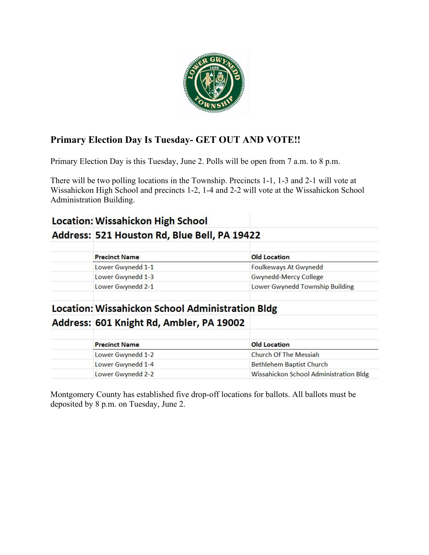

# **Primary Election Day Is Tuesday- GET OUT AND VOTE!!**

Primary Election Day is this Tuesday, June 2. Polls will be open from 7 a.m. to 8 p.m.

There will be two polling locations in the Township. Precincts 1-1, 1-3 and 2-1 will vote at Wissahickon High School and precincts 1-2, 1-4 and 2-2 will vote at the Wissahickon School Administration Building.

# **Location: Wissahickon High School**

# Address: 521 Houston Rd, Blue Bell, PA 19422

| <b>Precinct Name</b> | <b>Old Location</b>             |
|----------------------|---------------------------------|
| Lower Gwynedd 1-1    | Foulkeways At Gwynedd           |
| Lower Gwynedd 1-3    | Gwynedd-Mercy College           |
| Lower Gwynedd 2-1    | Lower Gwynedd Township Building |
|                      |                                 |

# **Location: Wissahickon School Administration Bldg** Address: 601 Knight Rd, Ambler, PA 19002

| <b>Old Location</b>                    |  |
|----------------------------------------|--|
|                                        |  |
| <b>Bethlehem Baptist Church</b>        |  |
| Wissahickon School Administration Bldg |  |
|                                        |  |

Montgomery County has established five drop-off locations for ballots. All ballots must be deposited by 8 p.m. on Tuesday, June 2.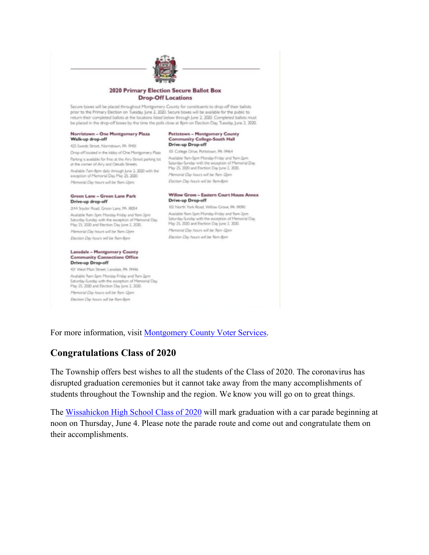

#### **2020 Primary Election Secure Ballot Box Drop-Off Locations**

Secure boxes will be placed throughout Montgomery County for constituents to drop-off their ballots prior to the Primary Election on Tuesday, June 2, 2020. Secure boxes will be available for the public to return their completed ballots at the locations listed below through June 2, 2020. Completed ballots must be placed in the drop-off boxes by the time the polls close at 8pm on Election Day, Tuesday, June 2, 2020.

#### Norristown - One Montgomery Plaza Walk-up drop-off

425 Swede Street, Norristown, PA 19401 Drop off located in the lobby of One Montgomery Plaza Parking is available for free at the Airy Street parking lot Awailable Parn-Spm Monday-Friday and Ram-Zpm at the corner of Airy and Dekalb Streets. Available 7am-8pm daily through June 2, 2020 with the exception of Memorial Day, May 25, 2020. Memorial Day hours will be 9am-Dom.

#### Green Lane - Green Lane Park Drive-up drop-off

3144 Snyder Road, Green Lane, PA 18054 Available 9am-5pm Monday-Friday and 9am-2pm Available 9am-Spm Monday-Friday and 9am-2pm Available 9am-5pm Monday-Friday and 9am-<br>Saturday-Sunday with the exception of Memorial Day. Saturday-Sunday with the exception of Mem<br>May 25, 2000 and Election Day June 2, 2000. May 25, 2000 and Election Day June 2, 2000. Memorial Day hours will be Ram-Dpm Election Day hours will be 9am-Bpm

#### **Lansdale - Montgomery County Community Connections Office** Drive-up Drop-off

421 West Main Street, Lansdale, PA 19446 Available 9am-5pm Monday-Friday and 9am-2pm Saturday-Sunday with the exception of Memorial Day. May 25, 2020 and Election Day June 2, 2020. Memorial Day hours will be Ram-I2pm Election Day hours will be Ram Spm

#### **Pottstown - Montgomery County Community College-South Hall** Drive-up Drop-off

IDI College Drive, Pottstown, PA 19464 aturday-Sunday with the exception of Memorial Day. May 25, 2020 and Election Day June 2, 2020. Memorial Day hours will be 9am-12pm Election Day hours will be 9am-8pm

#### Willow Grove - Eastern Court House Annex<br>Drive on Drea off **Drive-up Drop-off**

102 North York Road, Willow Grove, PA 19090 Available 9am-Spm Monday-Friday and 9am-2pm Saturday-Sunday with the exception of Memorial Day. Memorial Day hours will be 9am-Dom Election Day hours will be 9am Bom

For more information, visit [Montgomery County Voter Services.](https://www.montcopa.org/753/Voter-Services)

# **Congratulations Class of 2020**

The Township offers best wishes to all the students of the Class of 2020. The coronavirus has disrupted graduation ceremonies but it cannot take away from the many accomplishments of students throughout the Township and the region. We know you will go on to great things.

The [Wissahickon High School Class of 2020](https://www.wsdweb.org/) will mark graduation with a car parade beginning at noon on Thursday, June 4. Please note the parade route and come out and congratulate them on their accomplishments.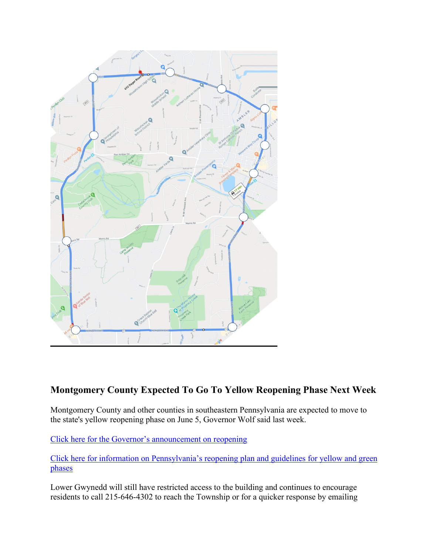

## **Montgomery County Expected To Go To Yellow Reopening Phase Next Week**

Montgomery County and other counties in southeastern Pennsylvania are expected to move to the state's yellow reopening phase on June 5, Governor Wolf said last week.

[Click here for the Governor's announcement on reopening](https://www.governor.pa.gov/newsroom/gov-wolf-adds-eight-counties-to-yellow-and-17-to-green-on-may-29-remainder-to-yellow-on-june-5/)

[Click here for information on Pennsylvania's reopening plan and guidelines for yellow and green](https://www.governor.pa.gov/process-to-reopen-pennsylvania/)  [phases](https://www.governor.pa.gov/process-to-reopen-pennsylvania/)

Lower Gwynedd will still have restricted access to the building and continues to encourage residents to call 215-646-4302 to reach the Township or for a quicker response by emailing